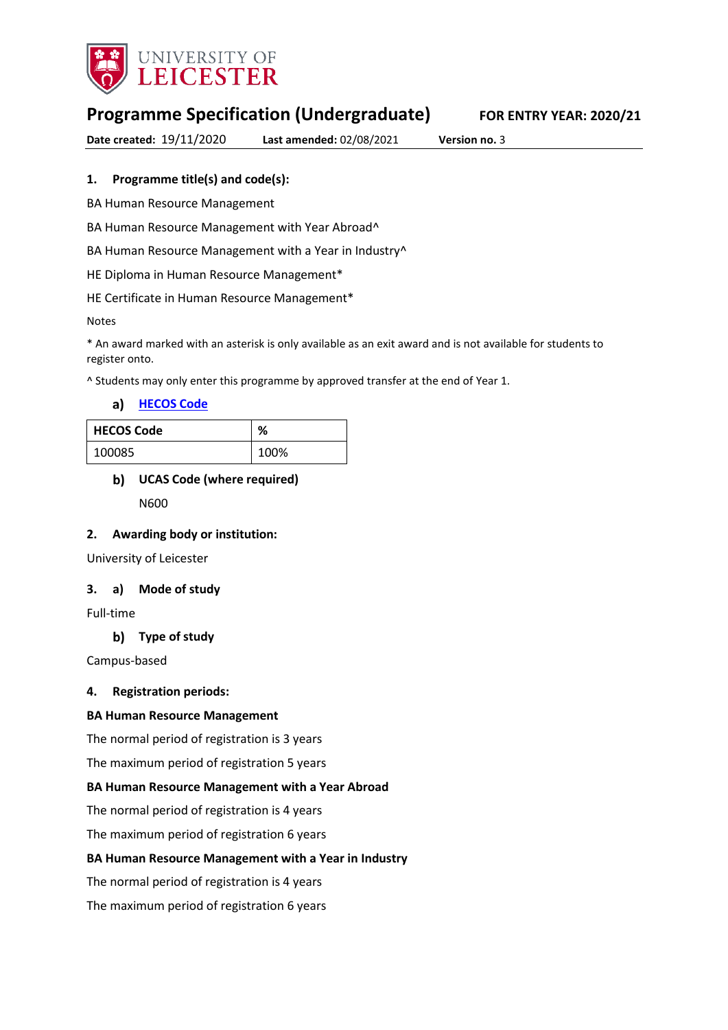

# **Programme Specification (Undergraduate) FOR ENTRY YEAR: 2020/21**

**Date created:** 19/11/2020 **Last amended:** 02/08/2021 **Version no.** 3

### **1. Programme title(s) and code(s):**

BA Human Resource Management

BA Human Resource Management with Year Abroad^

BA Human Resource Management with a Year in Industry<sup>^</sup>

HE Diploma in Human Resource Management\*

HE Certificate in Human Resource Management\*

Notes

\* An award marked with an asterisk is only available as an exit award and is not available for students to register onto.

^ Students may only enter this programme by approved transfer at the end of Year 1.

**[HECOS Code](https://www.hesa.ac.uk/innovation/hecos)**

| <b>HECOS Code</b> | %    |
|-------------------|------|
| 100085            | 100% |

# **UCAS Code (where required)** N600

### **2. Awarding body or institution:**

University of Leicester

#### **3. a) Mode of study**

Full-time

### **Type of study**

Campus-based

#### **4. Registration periods:**

#### **BA Human Resource Management**

The normal period of registration is 3 years

The maximum period of registration 5 years

#### **BA Human Resource Management with a Year Abroad**

The normal period of registration is 4 years

The maximum period of registration 6 years

#### **BA Human Resource Management with a Year in Industry**

The normal period of registration is 4 years

The maximum period of registration 6 years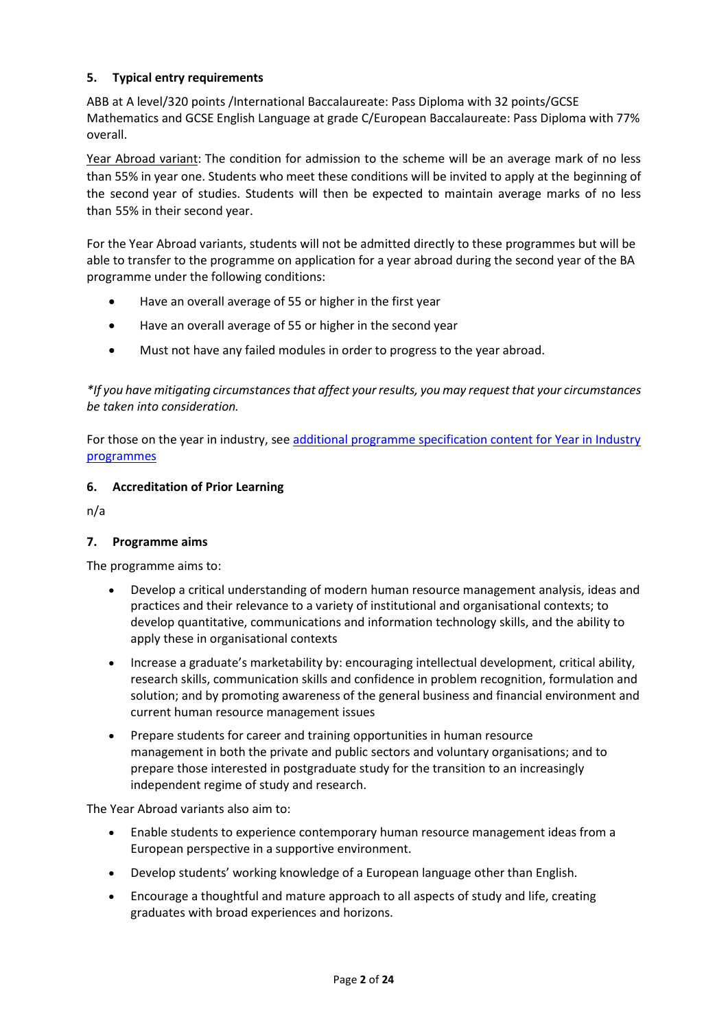### **5. Typical entry requirements**

ABB at A level/320 points /International Baccalaureate: Pass Diploma with 32 points/GCSE Mathematics and GCSE English Language at grade C/European Baccalaureate: Pass Diploma with 77% overall.

Year Abroad variant: The condition for admission to the scheme will be an average mark of no less than 55% in year one. Students who meet these conditions will be invited to apply at the beginning of the second year of studies. Students will then be expected to maintain average marks of no less than 55% in their second year.

For the Year Abroad variants, students will not be admitted directly to these programmes but will be able to transfer to the programme on application for a year abroad during the second year of the BA programme under the following conditions:

- Have an overall average of 55 or higher in the first year
- Have an overall average of 55 or higher in the second year
- Must not have any failed modules in order to progress to the year abroad.

*\*If you have mitigating circumstances that affect your results, you may request that your circumstances be taken into consideration.*

For those on the year in industry, see additional programme specification content for Year in Industry [programmes](https://www2.le.ac.uk/offices/sas2/courses/documentation/undergraduate-programme-specification-content-for-year-in-industry-programme-variants)

#### **6. Accreditation of Prior Learning**

n/a

#### **7. Programme aims**

The programme aims to:

- Develop a critical understanding of modern human resource management analysis, ideas and practices and their relevance to a variety of institutional and organisational contexts; to develop quantitative, communications and information technology skills, and the ability to apply these in organisational contexts
- Increase a graduate's marketability by: encouraging intellectual development, critical ability, research skills, communication skills and confidence in problem recognition, formulation and solution; and by promoting awareness of the general business and financial environment and current human resource management issues
- Prepare students for career and training opportunities in human resource management in both the private and public sectors and voluntary organisations; and to prepare those interested in postgraduate study for the transition to an increasingly independent regime of study and research.

The Year Abroad variants also aim to:

- Enable students to experience contemporary human resource management ideas from a European perspective in a supportive environment.
- Develop students' working knowledge of a European language other than English.
- Encourage a thoughtful and mature approach to all aspects of study and life, creating graduates with broad experiences and horizons.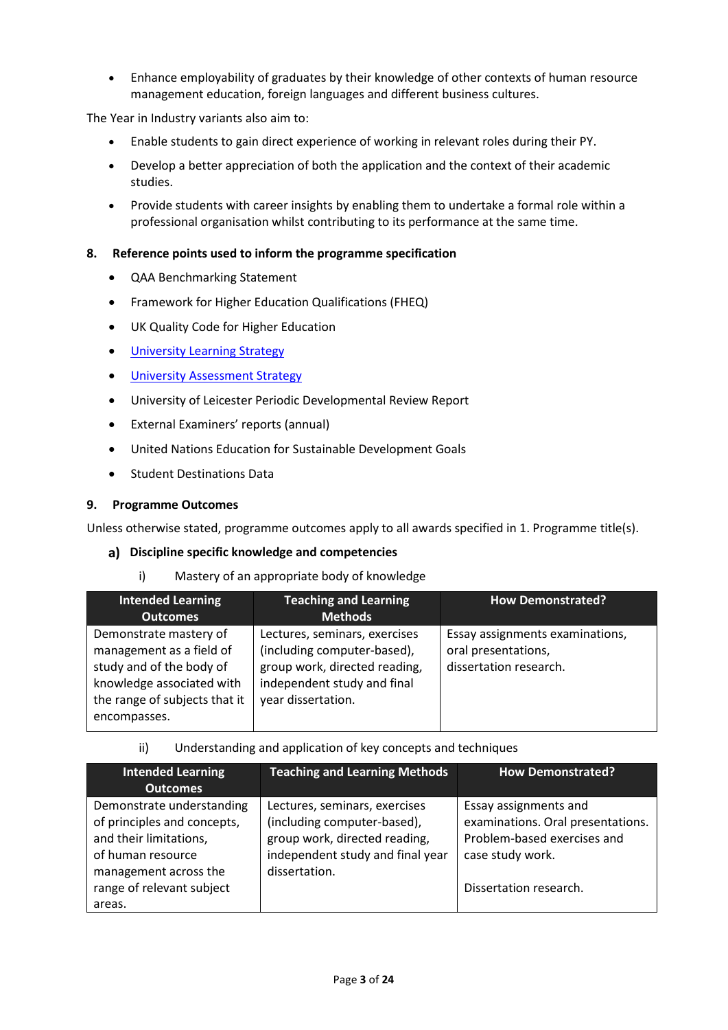• Enhance employability of graduates by their knowledge of other contexts of human resource management education, foreign languages and different business cultures.

The Year in Industry variants also aim to:

- Enable students to gain direct experience of working in relevant roles during their PY.
- Develop a better appreciation of both the application and the context of their academic studies.
- Provide students with career insights by enabling them to undertake a formal role within a professional organisation whilst contributing to its performance at the same time.

#### **8. Reference points used to inform the programme specification**

- QAA Benchmarking Statement
- Framework for Higher Education Qualifications (FHEQ)
- UK Quality Code for Higher Education
- University Learnin[g Strategy](https://www2.le.ac.uk/offices/sas2/quality/learnteach)
- [University Assessment Strategy](https://www2.le.ac.uk/offices/sas2/quality/learnteach)
- University of Leicester Periodic Developmental Review Report
- External Examiners' reports (annual)
- United Nations Education for Sustainable Development Goals
- Student Destinations Data

#### **9. Programme Outcomes**

Unless otherwise stated, programme outcomes apply to all awards specified in 1. Programme title(s).

#### **Discipline specific knowledge and competencies**

i) Mastery of an appropriate body of knowledge

| <b>Intended Learning</b>                                                                                                                                     | <b>Teaching and Learning</b>                                                                                                                       | <b>How Demonstrated?</b>                                                         |
|--------------------------------------------------------------------------------------------------------------------------------------------------------------|----------------------------------------------------------------------------------------------------------------------------------------------------|----------------------------------------------------------------------------------|
| <b>Outcomes</b>                                                                                                                                              | <b>Methods</b>                                                                                                                                     |                                                                                  |
| Demonstrate mastery of<br>management as a field of<br>study and of the body of<br>knowledge associated with<br>the range of subjects that it<br>encompasses. | Lectures, seminars, exercises<br>(including computer-based),<br>group work, directed reading,<br>independent study and final<br>year dissertation. | Essay assignments examinations,<br>oral presentations,<br>dissertation research. |

ii) Understanding and application of key concepts and techniques

| <b>Intended Learning</b>                                                                                                         | <b>Teaching and Learning Methods</b>                                                                                                               | <b>How Demonstrated?</b>                                                                                                                |
|----------------------------------------------------------------------------------------------------------------------------------|----------------------------------------------------------------------------------------------------------------------------------------------------|-----------------------------------------------------------------------------------------------------------------------------------------|
| <b>Outcomes</b>                                                                                                                  |                                                                                                                                                    |                                                                                                                                         |
| Demonstrate understanding<br>of principles and concepts,<br>and their limitations,<br>of human resource<br>management across the | Lectures, seminars, exercises<br>(including computer-based),<br>group work, directed reading,<br>independent study and final year<br>dissertation. | Essay assignments and<br>examinations. Oral presentations.<br>Problem-based exercises and<br>case study work.<br>Dissertation research. |
| range of relevant subject<br>areas.                                                                                              |                                                                                                                                                    |                                                                                                                                         |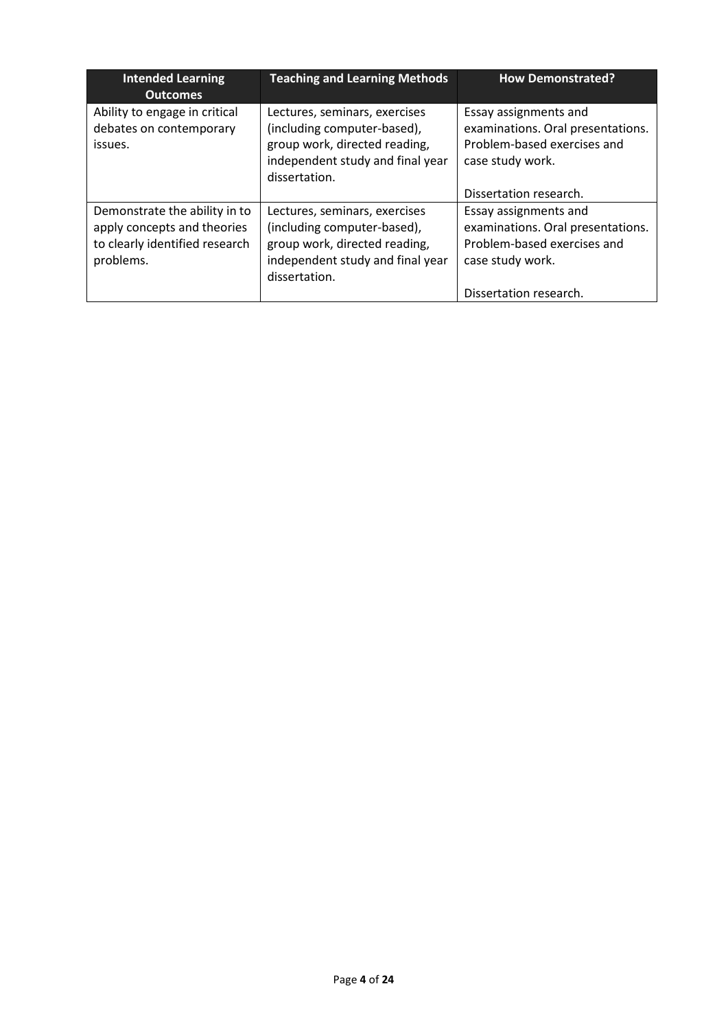| <b>Intended Learning</b><br><b>Outcomes</b>                                                                 | <b>Teaching and Learning Methods</b>                                                                                                               | <b>How Demonstrated?</b>                                                                                      |
|-------------------------------------------------------------------------------------------------------------|----------------------------------------------------------------------------------------------------------------------------------------------------|---------------------------------------------------------------------------------------------------------------|
| Ability to engage in critical<br>debates on contemporary<br>issues.                                         | Lectures, seminars, exercises<br>(including computer-based),<br>group work, directed reading,<br>independent study and final year<br>dissertation. | Essay assignments and<br>examinations. Oral presentations.<br>Problem-based exercises and<br>case study work. |
|                                                                                                             |                                                                                                                                                    | Dissertation research.                                                                                        |
| Demonstrate the ability in to<br>apply concepts and theories<br>to clearly identified research<br>problems. | Lectures, seminars, exercises<br>(including computer-based),<br>group work, directed reading,<br>independent study and final year<br>dissertation. | Essay assignments and<br>examinations. Oral presentations.<br>Problem-based exercises and<br>case study work. |
|                                                                                                             |                                                                                                                                                    | Dissertation research.                                                                                        |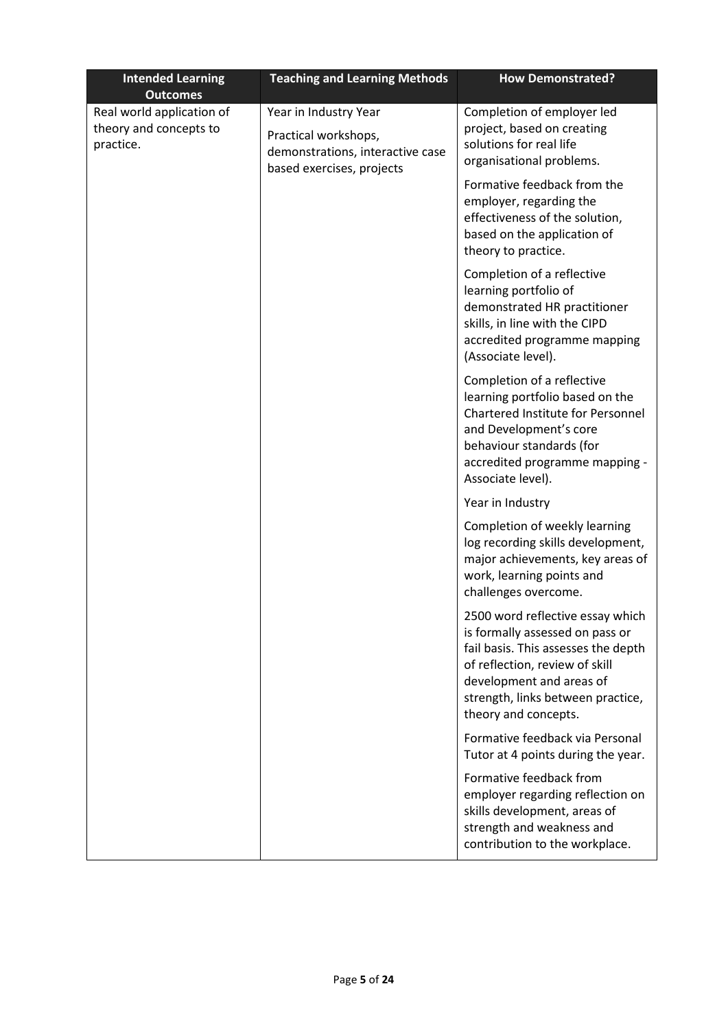| <b>Intended Learning</b><br><b>Outcomes</b>                      | <b>Teaching and Learning Methods</b>                                                                           | <b>How Demonstrated?</b>                                                                                                                                                                                                              |
|------------------------------------------------------------------|----------------------------------------------------------------------------------------------------------------|---------------------------------------------------------------------------------------------------------------------------------------------------------------------------------------------------------------------------------------|
| Real world application of<br>theory and concepts to<br>practice. | Year in Industry Year<br>Practical workshops,<br>demonstrations, interactive case<br>based exercises, projects | Completion of employer led<br>project, based on creating<br>solutions for real life<br>organisational problems.                                                                                                                       |
|                                                                  |                                                                                                                | Formative feedback from the<br>employer, regarding the<br>effectiveness of the solution,<br>based on the application of<br>theory to practice.                                                                                        |
|                                                                  |                                                                                                                | Completion of a reflective<br>learning portfolio of<br>demonstrated HR practitioner<br>skills, in line with the CIPD<br>accredited programme mapping<br>(Associate level).                                                            |
|                                                                  |                                                                                                                | Completion of a reflective<br>learning portfolio based on the<br>Chartered Institute for Personnel<br>and Development's core<br>behaviour standards (for<br>accredited programme mapping -<br>Associate level).                       |
|                                                                  |                                                                                                                | Year in Industry                                                                                                                                                                                                                      |
|                                                                  |                                                                                                                | Completion of weekly learning<br>log recording skills development,<br>major achievements, key areas of<br>work, learning points and<br>challenges overcome.                                                                           |
|                                                                  |                                                                                                                | 2500 word reflective essay which<br>is formally assessed on pass or<br>fail basis. This assesses the depth<br>of reflection, review of skill<br>development and areas of<br>strength, links between practice,<br>theory and concepts. |
|                                                                  |                                                                                                                | Formative feedback via Personal<br>Tutor at 4 points during the year.                                                                                                                                                                 |
|                                                                  |                                                                                                                | Formative feedback from<br>employer regarding reflection on<br>skills development, areas of<br>strength and weakness and<br>contribution to the workplace.                                                                            |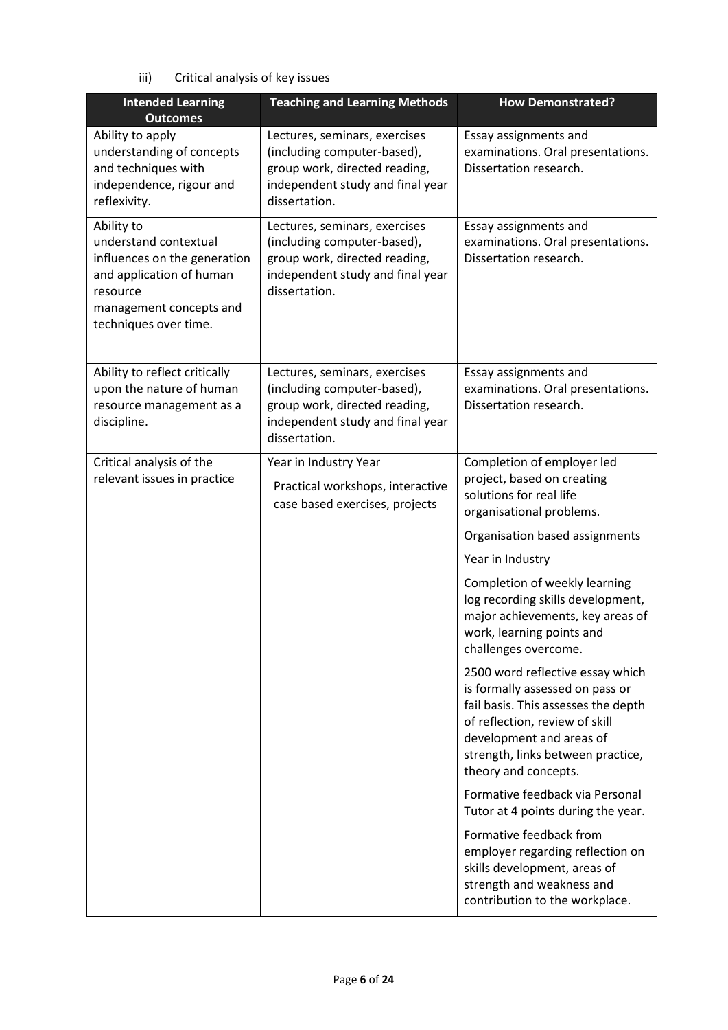iii) Critical analysis of key issues

| <b>Intended Learning</b><br><b>Outcomes</b>                                                                                                                     | <b>Teaching and Learning Methods</b>                                                                                                               | <b>How Demonstrated?</b>                                                                                                                                                                                                              |
|-----------------------------------------------------------------------------------------------------------------------------------------------------------------|----------------------------------------------------------------------------------------------------------------------------------------------------|---------------------------------------------------------------------------------------------------------------------------------------------------------------------------------------------------------------------------------------|
| Ability to apply<br>understanding of concepts<br>and techniques with<br>independence, rigour and<br>reflexivity.                                                | Lectures, seminars, exercises<br>(including computer-based),<br>group work, directed reading,<br>independent study and final year<br>dissertation. | Essay assignments and<br>examinations. Oral presentations.<br>Dissertation research.                                                                                                                                                  |
| Ability to<br>understand contextual<br>influences on the generation<br>and application of human<br>resource<br>management concepts and<br>techniques over time. | Lectures, seminars, exercises<br>(including computer-based),<br>group work, directed reading,<br>independent study and final year<br>dissertation. | Essay assignments and<br>examinations. Oral presentations.<br>Dissertation research.                                                                                                                                                  |
| Ability to reflect critically<br>upon the nature of human<br>resource management as a<br>discipline.                                                            | Lectures, seminars, exercises<br>(including computer-based),<br>group work, directed reading,<br>independent study and final year<br>dissertation. | Essay assignments and<br>examinations. Oral presentations.<br>Dissertation research.                                                                                                                                                  |
| Critical analysis of the                                                                                                                                        | Year in Industry Year                                                                                                                              | Completion of employer led                                                                                                                                                                                                            |
| relevant issues in practice                                                                                                                                     | Practical workshops, interactive<br>case based exercises, projects                                                                                 | project, based on creating<br>solutions for real life<br>organisational problems.                                                                                                                                                     |
|                                                                                                                                                                 |                                                                                                                                                    | Organisation based assignments                                                                                                                                                                                                        |
|                                                                                                                                                                 |                                                                                                                                                    | Year in Industry                                                                                                                                                                                                                      |
|                                                                                                                                                                 |                                                                                                                                                    | Completion of weekly learning<br>log recording skills development,<br>major achievements, key areas of<br>work, learning points and<br>challenges overcome.                                                                           |
|                                                                                                                                                                 |                                                                                                                                                    | 2500 word reflective essay which<br>is formally assessed on pass or<br>fail basis. This assesses the depth<br>of reflection, review of skill<br>development and areas of<br>strength, links between practice,<br>theory and concepts. |
|                                                                                                                                                                 |                                                                                                                                                    | Formative feedback via Personal<br>Tutor at 4 points during the year.                                                                                                                                                                 |
|                                                                                                                                                                 |                                                                                                                                                    | Formative feedback from<br>employer regarding reflection on<br>skills development, areas of<br>strength and weakness and<br>contribution to the workplace.                                                                            |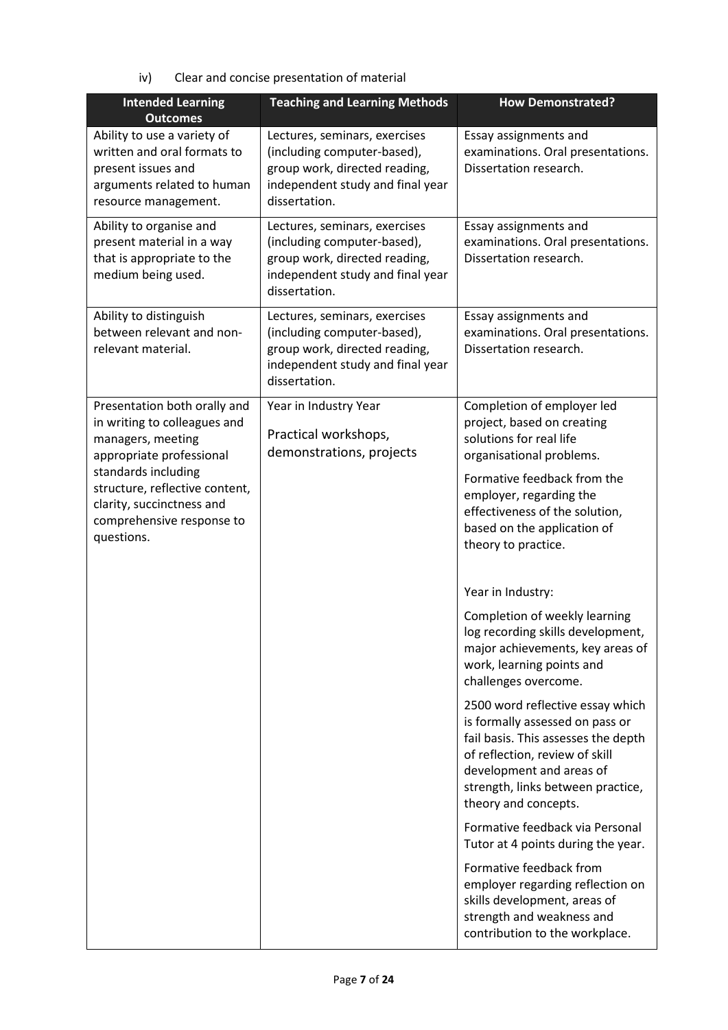iv) Clear and concise presentation of material

| <b>Intended Learning</b><br><b>Outcomes</b>                                                                                            | <b>Teaching and Learning Methods</b>                                                                                                               | <b>How Demonstrated?</b>                                                                                                                                                                                                              |
|----------------------------------------------------------------------------------------------------------------------------------------|----------------------------------------------------------------------------------------------------------------------------------------------------|---------------------------------------------------------------------------------------------------------------------------------------------------------------------------------------------------------------------------------------|
| Ability to use a variety of<br>written and oral formats to<br>present issues and<br>arguments related to human<br>resource management. | Lectures, seminars, exercises<br>(including computer-based),<br>group work, directed reading,<br>independent study and final year<br>dissertation. | Essay assignments and<br>examinations. Oral presentations.<br>Dissertation research.                                                                                                                                                  |
| Ability to organise and<br>present material in a way<br>that is appropriate to the<br>medium being used.                               | Lectures, seminars, exercises<br>(including computer-based),<br>group work, directed reading,<br>independent study and final year<br>dissertation. | Essay assignments and<br>examinations. Oral presentations.<br>Dissertation research.                                                                                                                                                  |
| Ability to distinguish<br>between relevant and non-<br>relevant material.                                                              | Lectures, seminars, exercises<br>(including computer-based),<br>group work, directed reading,<br>independent study and final year<br>dissertation. | Essay assignments and<br>examinations. Oral presentations.<br>Dissertation research.                                                                                                                                                  |
| Presentation both orally and<br>in writing to colleagues and<br>managers, meeting<br>appropriate professional                          | Year in Industry Year<br>Practical workshops,<br>demonstrations, projects                                                                          | Completion of employer led<br>project, based on creating<br>solutions for real life<br>organisational problems.                                                                                                                       |
| standards including<br>structure, reflective content,<br>clarity, succinctness and<br>comprehensive response to<br>questions.          |                                                                                                                                                    | Formative feedback from the<br>employer, regarding the<br>effectiveness of the solution,<br>based on the application of<br>theory to practice.                                                                                        |
|                                                                                                                                        |                                                                                                                                                    | Year in Industry:                                                                                                                                                                                                                     |
|                                                                                                                                        |                                                                                                                                                    | Completion of weekly learning<br>log recording skills development,<br>major achievements, key areas of<br>work, learning points and<br>challenges overcome.                                                                           |
|                                                                                                                                        |                                                                                                                                                    | 2500 word reflective essay which<br>is formally assessed on pass or<br>fail basis. This assesses the depth<br>of reflection, review of skill<br>development and areas of<br>strength, links between practice,<br>theory and concepts. |
|                                                                                                                                        |                                                                                                                                                    | Formative feedback via Personal<br>Tutor at 4 points during the year.                                                                                                                                                                 |
|                                                                                                                                        |                                                                                                                                                    | Formative feedback from<br>employer regarding reflection on<br>skills development, areas of<br>strength and weakness and<br>contribution to the workplace.                                                                            |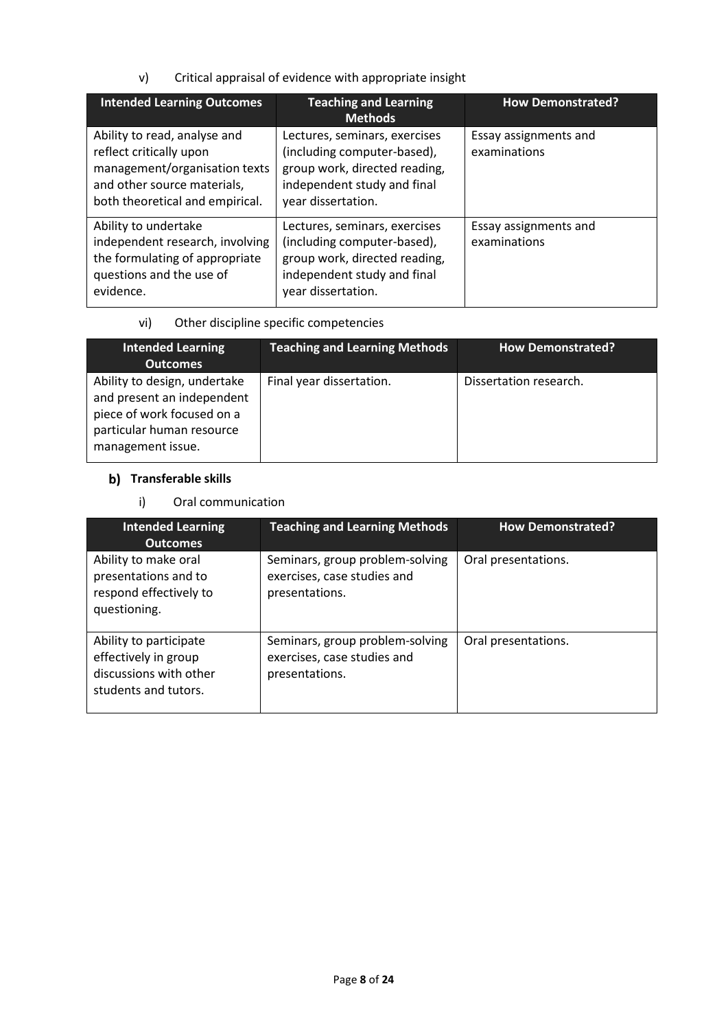v) Critical appraisal of evidence with appropriate insight

| <b>Intended Learning Outcomes</b>                                                                                                                          | <b>Teaching and Learning</b>                                                                                                                       | <b>How Demonstrated?</b>              |
|------------------------------------------------------------------------------------------------------------------------------------------------------------|----------------------------------------------------------------------------------------------------------------------------------------------------|---------------------------------------|
|                                                                                                                                                            | <b>Methods</b>                                                                                                                                     |                                       |
| Ability to read, analyse and<br>reflect critically upon<br>management/organisation texts<br>and other source materials,<br>both theoretical and empirical. | Lectures, seminars, exercises<br>(including computer-based),<br>group work, directed reading,<br>independent study and final<br>year dissertation. | Essay assignments and<br>examinations |
| Ability to undertake<br>independent research, involving<br>the formulating of appropriate<br>questions and the use of<br>evidence.                         | Lectures, seminars, exercises<br>(including computer-based),<br>group work, directed reading,<br>independent study and final<br>year dissertation. | Essay assignments and<br>examinations |

vi) Other discipline specific competencies

| <b>Intended Learning</b><br><b>Outcomes</b>                                                                                                | <b>Teaching and Learning Methods</b> | <b>How Demonstrated?</b> |
|--------------------------------------------------------------------------------------------------------------------------------------------|--------------------------------------|--------------------------|
| Ability to design, undertake<br>and present an independent<br>piece of work focused on a<br>particular human resource<br>management issue. | Final year dissertation.             | Dissertation research.   |

# **b)** Transferable skills

# i) Oral communication

| <b>Intended Learning</b><br><b>Outcomes</b>                                                      | <b>Teaching and Learning Methods</b>                                             | <b>How Demonstrated?</b> |
|--------------------------------------------------------------------------------------------------|----------------------------------------------------------------------------------|--------------------------|
| Ability to make oral<br>presentations and to<br>respond effectively to<br>questioning.           | Seminars, group problem-solving<br>exercises, case studies and<br>presentations. | Oral presentations.      |
| Ability to participate<br>effectively in group<br>discussions with other<br>students and tutors. | Seminars, group problem-solving<br>exercises, case studies and<br>presentations. | Oral presentations.      |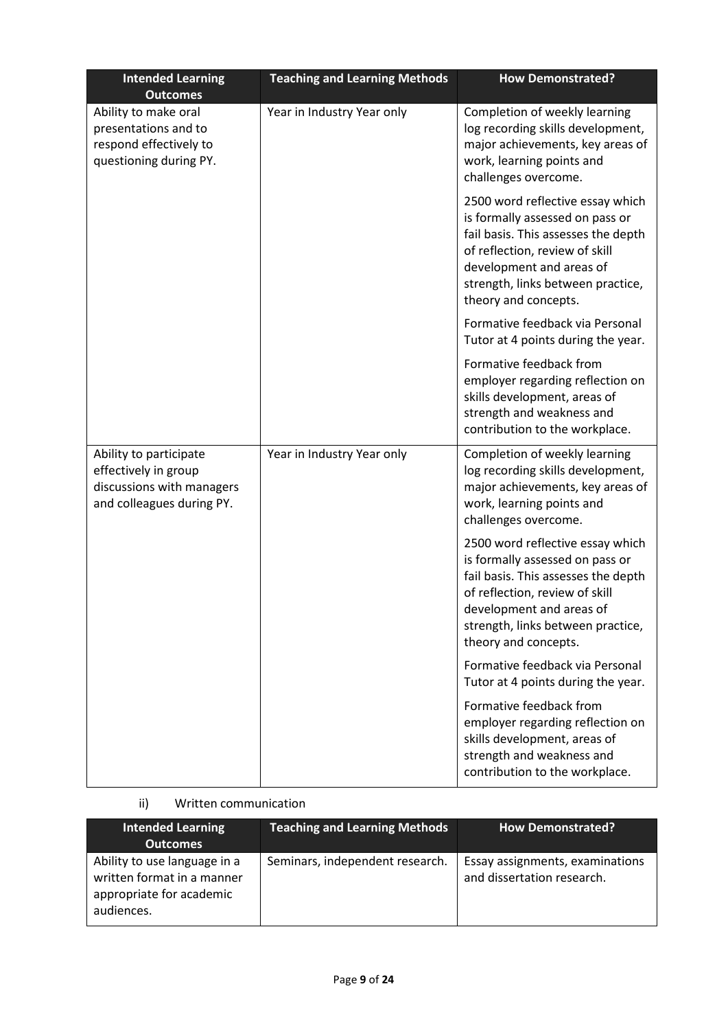| <b>Intended Learning</b><br><b>Outcomes</b>                                                              | <b>Teaching and Learning Methods</b> | <b>How Demonstrated?</b>                                                                                                                                                                                                              |
|----------------------------------------------------------------------------------------------------------|--------------------------------------|---------------------------------------------------------------------------------------------------------------------------------------------------------------------------------------------------------------------------------------|
| Ability to make oral<br>presentations and to<br>respond effectively to<br>questioning during PY.         | Year in Industry Year only           | Completion of weekly learning<br>log recording skills development,<br>major achievements, key areas of<br>work, learning points and<br>challenges overcome.                                                                           |
|                                                                                                          |                                      | 2500 word reflective essay which<br>is formally assessed on pass or<br>fail basis. This assesses the depth<br>of reflection, review of skill<br>development and areas of<br>strength, links between practice,<br>theory and concepts. |
|                                                                                                          |                                      | Formative feedback via Personal<br>Tutor at 4 points during the year.                                                                                                                                                                 |
|                                                                                                          |                                      | Formative feedback from<br>employer regarding reflection on<br>skills development, areas of<br>strength and weakness and<br>contribution to the workplace.                                                                            |
| Ability to participate<br>effectively in group<br>discussions with managers<br>and colleagues during PY. | Year in Industry Year only           | Completion of weekly learning<br>log recording skills development,<br>major achievements, key areas of<br>work, learning points and<br>challenges overcome.                                                                           |
|                                                                                                          |                                      | 2500 word reflective essay which<br>is formally assessed on pass or<br>fail basis. This assesses the depth<br>of reflection, review of skill<br>development and areas of<br>strength, links between practice,<br>theory and concepts. |
|                                                                                                          |                                      | Formative feedback via Personal<br>Tutor at 4 points during the year.                                                                                                                                                                 |
|                                                                                                          |                                      | Formative feedback from<br>employer regarding reflection on<br>skills development, areas of<br>strength and weakness and<br>contribution to the workplace.                                                                            |

# ii) Written communication

| <b>Intended Learning</b><br><b>Outcomes</b>                                                          | <b>Teaching and Learning Methods</b> | <b>How Demonstrated?</b>                                      |
|------------------------------------------------------------------------------------------------------|--------------------------------------|---------------------------------------------------------------|
| Ability to use language in a<br>written format in a manner<br>appropriate for academic<br>audiences. | Seminars, independent research.      | Essay assignments, examinations<br>and dissertation research. |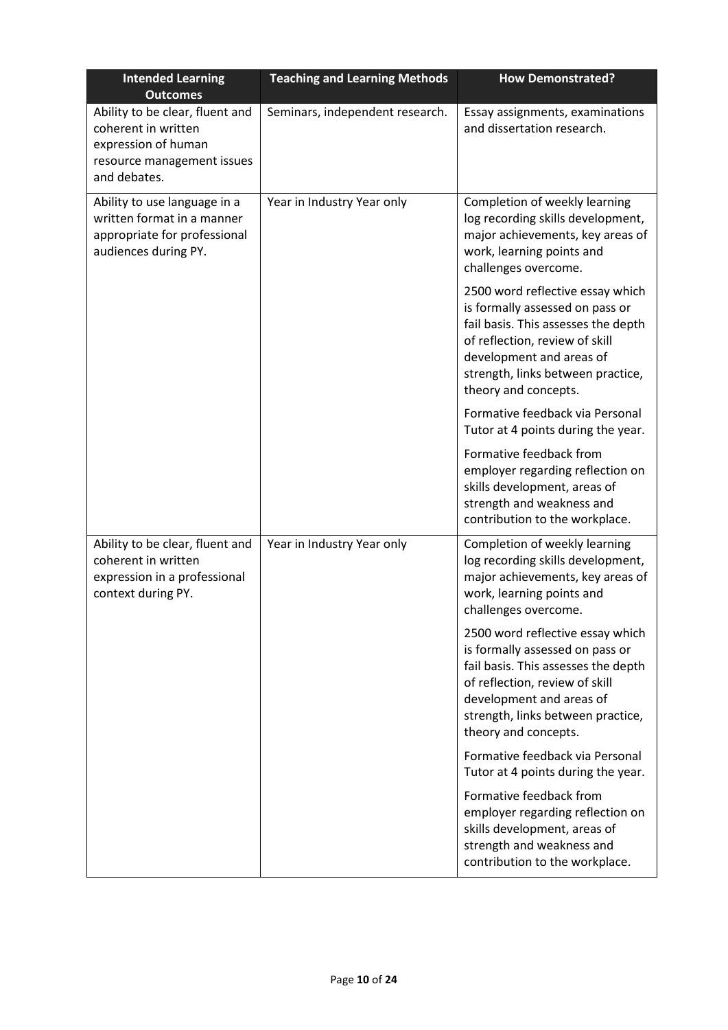| <b>Intended Learning</b><br><b>Outcomes</b>                                                                                 | <b>Teaching and Learning Methods</b> | <b>How Demonstrated?</b>                                                                                                                                                                                                              |
|-----------------------------------------------------------------------------------------------------------------------------|--------------------------------------|---------------------------------------------------------------------------------------------------------------------------------------------------------------------------------------------------------------------------------------|
| Ability to be clear, fluent and<br>coherent in written<br>expression of human<br>resource management issues<br>and debates. | Seminars, independent research.      | Essay assignments, examinations<br>and dissertation research.                                                                                                                                                                         |
| Ability to use language in a<br>written format in a manner<br>appropriate for professional<br>audiences during PY.          | Year in Industry Year only           | Completion of weekly learning<br>log recording skills development,<br>major achievements, key areas of<br>work, learning points and<br>challenges overcome.                                                                           |
|                                                                                                                             |                                      | 2500 word reflective essay which<br>is formally assessed on pass or<br>fail basis. This assesses the depth<br>of reflection, review of skill<br>development and areas of<br>strength, links between practice,<br>theory and concepts. |
|                                                                                                                             |                                      | Formative feedback via Personal<br>Tutor at 4 points during the year.                                                                                                                                                                 |
|                                                                                                                             |                                      | Formative feedback from<br>employer regarding reflection on<br>skills development, areas of<br>strength and weakness and<br>contribution to the workplace.                                                                            |
| Ability to be clear, fluent and<br>coherent in written<br>expression in a professional<br>context during PY.                | Year in Industry Year only           | Completion of weekly learning<br>log recording skills development,<br>major achievements, key areas of<br>work, learning points and<br>challenges overcome.                                                                           |
|                                                                                                                             |                                      | 2500 word reflective essay which<br>is formally assessed on pass or<br>fail basis. This assesses the depth<br>of reflection, review of skill<br>development and areas of<br>strength, links between practice,<br>theory and concepts. |
|                                                                                                                             |                                      | Formative feedback via Personal<br>Tutor at 4 points during the year.                                                                                                                                                                 |
|                                                                                                                             |                                      | Formative feedback from<br>employer regarding reflection on<br>skills development, areas of<br>strength and weakness and<br>contribution to the workplace.                                                                            |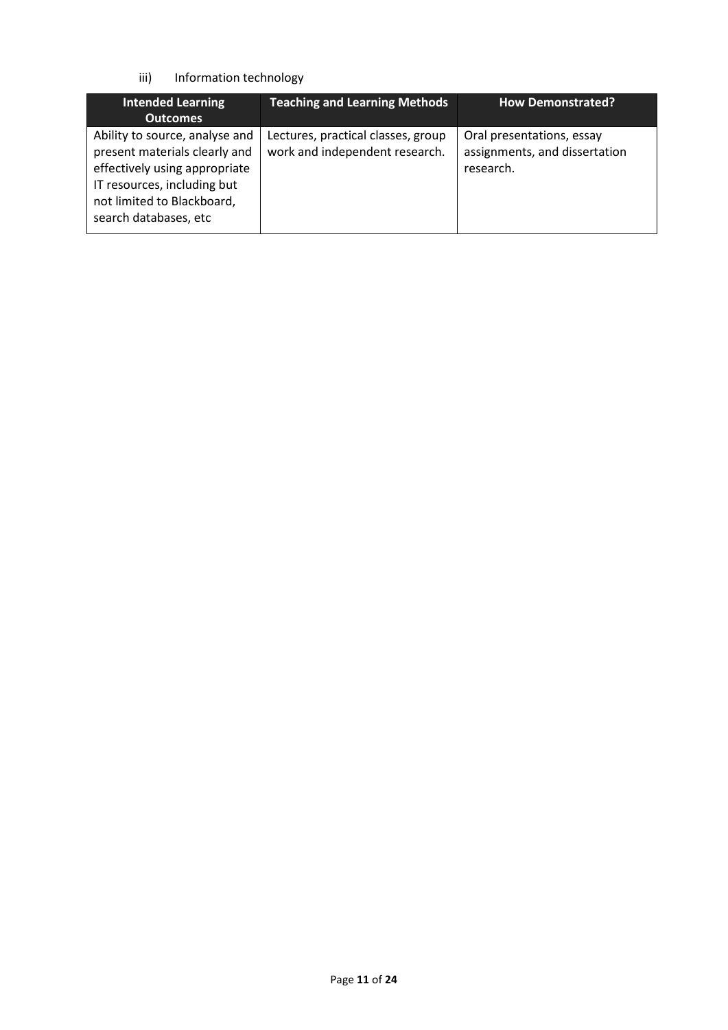### iii) Information technology

| <b>Intended Learning</b><br><b>Outcomes</b>                                                                                                                                            | <b>Teaching and Learning Methods</b>                                 | <b>How Demonstrated?</b>                                                |
|----------------------------------------------------------------------------------------------------------------------------------------------------------------------------------------|----------------------------------------------------------------------|-------------------------------------------------------------------------|
| Ability to source, analyse and<br>present materials clearly and<br>effectively using appropriate<br>IT resources, including but<br>not limited to Blackboard,<br>search databases, etc | Lectures, practical classes, group<br>work and independent research. | Oral presentations, essay<br>assignments, and dissertation<br>research. |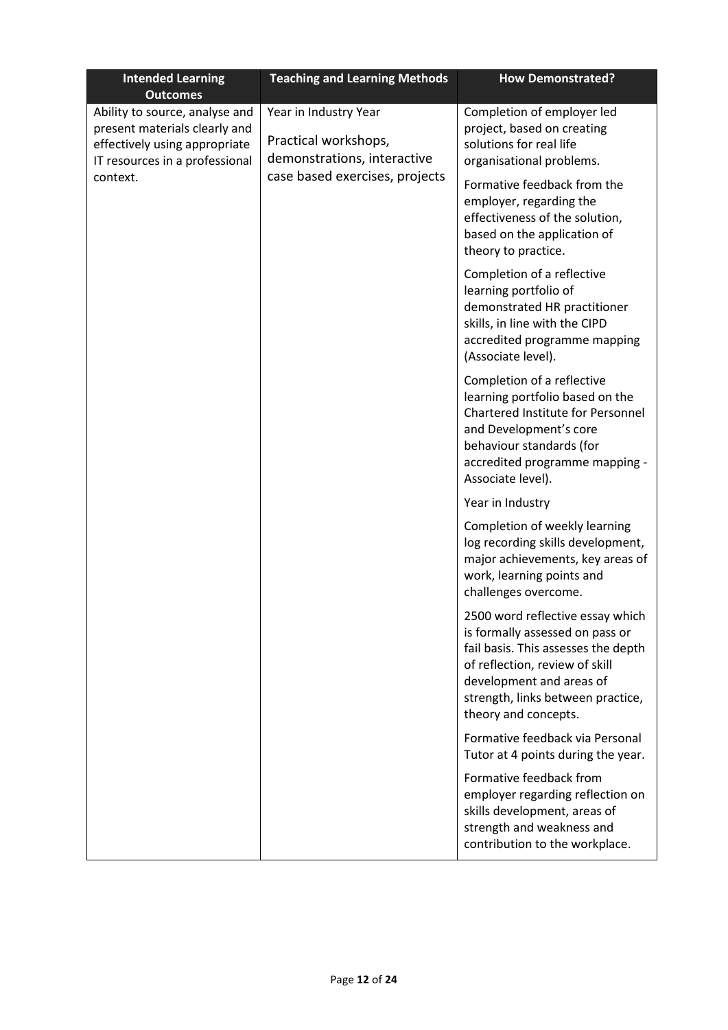| <b>Intended Learning</b><br><b>Outcomes</b>                                                                                                    | <b>Teaching and Learning Methods</b>                                         | <b>How Demonstrated?</b>                                                                                                                                                                                                              |
|------------------------------------------------------------------------------------------------------------------------------------------------|------------------------------------------------------------------------------|---------------------------------------------------------------------------------------------------------------------------------------------------------------------------------------------------------------------------------------|
| Ability to source, analyse and<br>present materials clearly and<br>effectively using appropriate<br>IT resources in a professional<br>context. | Year in Industry Year<br>Practical workshops,<br>demonstrations, interactive | Completion of employer led<br>project, based on creating<br>solutions for real life<br>organisational problems.                                                                                                                       |
|                                                                                                                                                | case based exercises, projects                                               | Formative feedback from the<br>employer, regarding the<br>effectiveness of the solution,<br>based on the application of<br>theory to practice.                                                                                        |
|                                                                                                                                                |                                                                              | Completion of a reflective<br>learning portfolio of<br>demonstrated HR practitioner<br>skills, in line with the CIPD<br>accredited programme mapping<br>(Associate level).                                                            |
|                                                                                                                                                |                                                                              | Completion of a reflective<br>learning portfolio based on the<br>Chartered Institute for Personnel<br>and Development's core<br>behaviour standards (for<br>accredited programme mapping -<br>Associate level).                       |
|                                                                                                                                                |                                                                              | Year in Industry                                                                                                                                                                                                                      |
|                                                                                                                                                |                                                                              | Completion of weekly learning<br>log recording skills development,<br>major achievements, key areas of<br>work, learning points and<br>challenges overcome.                                                                           |
|                                                                                                                                                |                                                                              | 2500 word reflective essay which<br>is formally assessed on pass or<br>fail basis. This assesses the depth<br>of reflection, review of skill<br>development and areas of<br>strength, links between practice,<br>theory and concepts. |
|                                                                                                                                                |                                                                              | Formative feedback via Personal<br>Tutor at 4 points during the year.                                                                                                                                                                 |
|                                                                                                                                                |                                                                              | Formative feedback from<br>employer regarding reflection on<br>skills development, areas of<br>strength and weakness and<br>contribution to the workplace.                                                                            |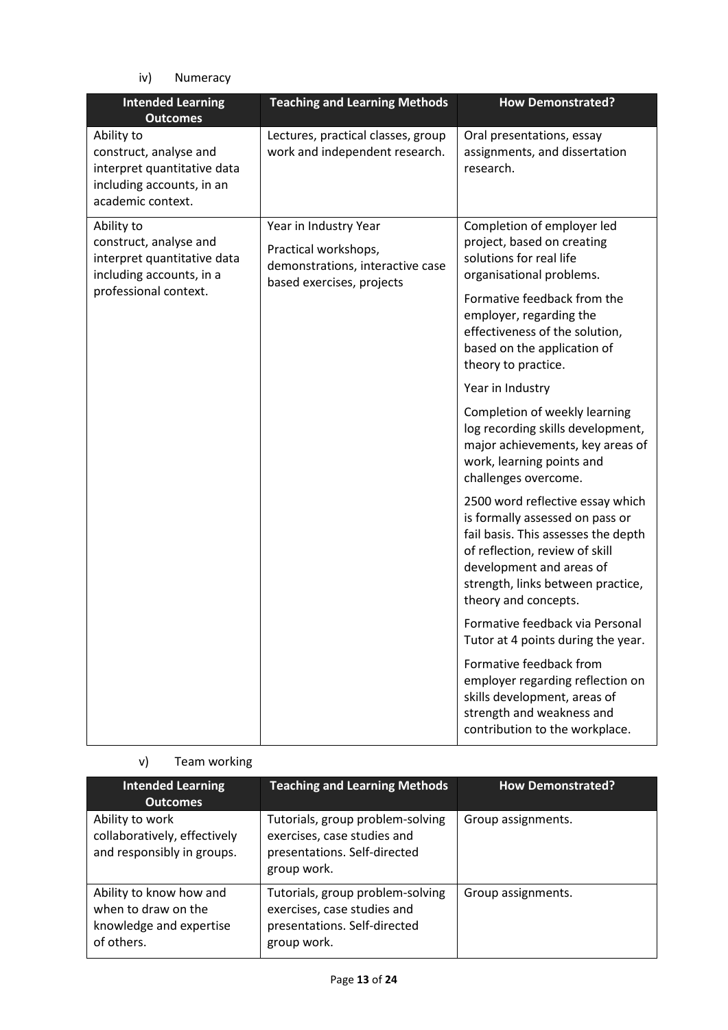iv) Numeracy

| <b>Outcomes</b>                                                                                                          |                                                                                                                | <b>How Demonstrated?</b>                                                                                                                                                                                                                                                                                                                                                                                                                                                                                                                                                                                                                                                                                                                                                                                                                                                                           |
|--------------------------------------------------------------------------------------------------------------------------|----------------------------------------------------------------------------------------------------------------|----------------------------------------------------------------------------------------------------------------------------------------------------------------------------------------------------------------------------------------------------------------------------------------------------------------------------------------------------------------------------------------------------------------------------------------------------------------------------------------------------------------------------------------------------------------------------------------------------------------------------------------------------------------------------------------------------------------------------------------------------------------------------------------------------------------------------------------------------------------------------------------------------|
| Ability to<br>construct, analyse and<br>interpret quantitative data<br>including accounts, in an<br>academic context.    | Lectures, practical classes, group<br>work and independent research.                                           | Oral presentations, essay<br>assignments, and dissertation<br>research.                                                                                                                                                                                                                                                                                                                                                                                                                                                                                                                                                                                                                                                                                                                                                                                                                            |
| Ability to<br>construct, analyse and<br>interpret quantitative data<br>including accounts, in a<br>professional context. | Year in Industry Year<br>Practical workshops,<br>demonstrations, interactive case<br>based exercises, projects | Completion of employer led<br>project, based on creating<br>solutions for real life<br>organisational problems.<br>Formative feedback from the<br>employer, regarding the<br>effectiveness of the solution,<br>based on the application of<br>theory to practice.<br>Year in Industry<br>Completion of weekly learning<br>log recording skills development,<br>major achievements, key areas of<br>work, learning points and<br>challenges overcome.<br>2500 word reflective essay which<br>is formally assessed on pass or<br>fail basis. This assesses the depth<br>of reflection, review of skill<br>development and areas of<br>strength, links between practice,<br>theory and concepts.<br>Formative feedback via Personal<br>Tutor at 4 points during the year.<br>Formative feedback from<br>employer regarding reflection on<br>skills development, areas of<br>strength and weakness and |

# v) Team working

| <b>Intended Learning</b><br><b>Outcomes</b>                                             | <b>Teaching and Learning Methods</b>                                                                           | <b>How Demonstrated?</b> |
|-----------------------------------------------------------------------------------------|----------------------------------------------------------------------------------------------------------------|--------------------------|
| Ability to work<br>collaboratively, effectively<br>and responsibly in groups.           | Tutorials, group problem-solving<br>exercises, case studies and<br>presentations. Self-directed<br>group work. | Group assignments.       |
| Ability to know how and<br>when to draw on the<br>knowledge and expertise<br>of others. | Tutorials, group problem-solving<br>exercises, case studies and<br>presentations. Self-directed<br>group work. | Group assignments.       |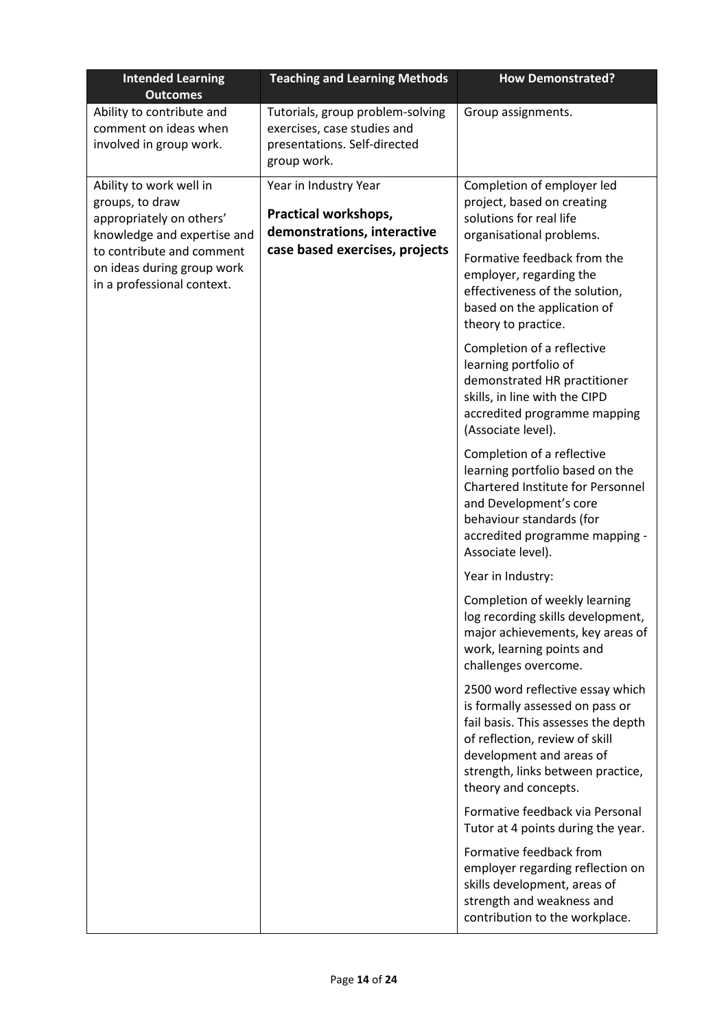| <b>Intended Learning</b><br><b>Outcomes</b>                                                           | <b>Teaching and Learning Methods</b>                                                                           | <b>How Demonstrated?</b>                                                                                                                                                                                                              |
|-------------------------------------------------------------------------------------------------------|----------------------------------------------------------------------------------------------------------------|---------------------------------------------------------------------------------------------------------------------------------------------------------------------------------------------------------------------------------------|
| Ability to contribute and<br>comment on ideas when<br>involved in group work.                         | Tutorials, group problem-solving<br>exercises, case studies and<br>presentations. Self-directed<br>group work. | Group assignments.                                                                                                                                                                                                                    |
| Ability to work well in<br>groups, to draw<br>appropriately on others'<br>knowledge and expertise and | Year in Industry Year<br>Practical workshops,<br>demonstrations, interactive                                   | Completion of employer led<br>project, based on creating<br>solutions for real life<br>organisational problems.                                                                                                                       |
| to contribute and comment<br>on ideas during group work<br>in a professional context.                 | case based exercises, projects                                                                                 | Formative feedback from the<br>employer, regarding the<br>effectiveness of the solution,<br>based on the application of<br>theory to practice.                                                                                        |
|                                                                                                       |                                                                                                                | Completion of a reflective<br>learning portfolio of<br>demonstrated HR practitioner<br>skills, in line with the CIPD<br>accredited programme mapping<br>(Associate level).                                                            |
|                                                                                                       |                                                                                                                | Completion of a reflective<br>learning portfolio based on the<br>Chartered Institute for Personnel<br>and Development's core<br>behaviour standards (for<br>accredited programme mapping -<br>Associate level).                       |
|                                                                                                       |                                                                                                                | Year in Industry:                                                                                                                                                                                                                     |
|                                                                                                       |                                                                                                                | Completion of weekly learning<br>log recording skills development,<br>major achievements, key areas of<br>work, learning points and<br>challenges overcome.                                                                           |
|                                                                                                       |                                                                                                                | 2500 word reflective essay which<br>is formally assessed on pass or<br>fail basis. This assesses the depth<br>of reflection, review of skill<br>development and areas of<br>strength, links between practice,<br>theory and concepts. |
|                                                                                                       |                                                                                                                | Formative feedback via Personal<br>Tutor at 4 points during the year.                                                                                                                                                                 |
|                                                                                                       |                                                                                                                | Formative feedback from<br>employer regarding reflection on<br>skills development, areas of<br>strength and weakness and<br>contribution to the workplace.                                                                            |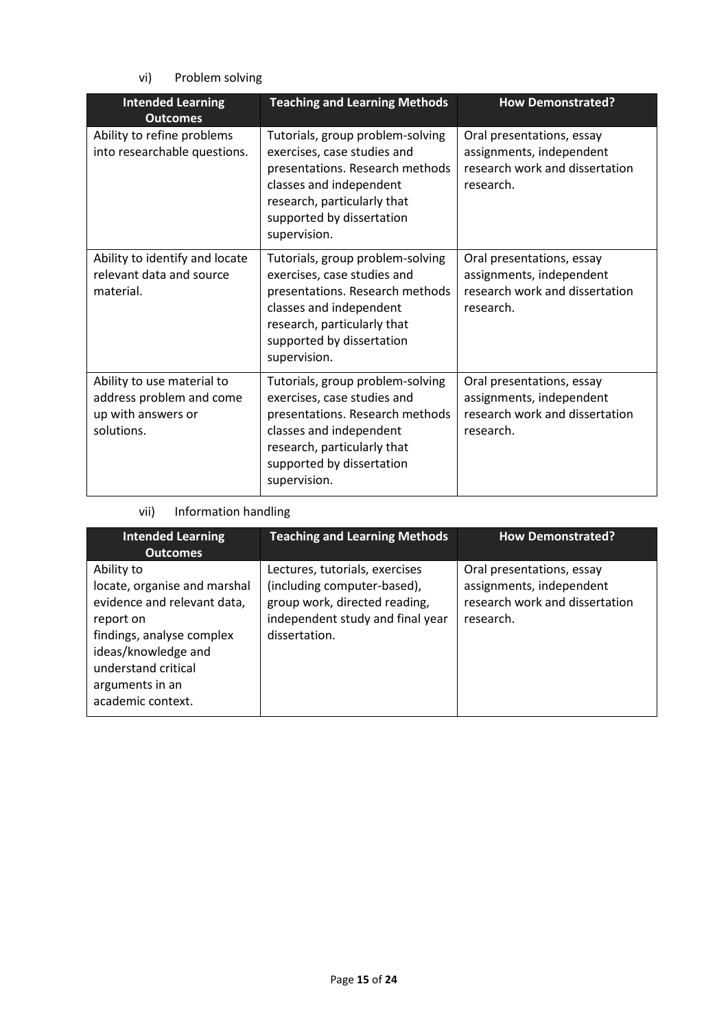vi) Problem solving

| <b>Intended Learning</b><br><b>Outcomes</b>                                                | <b>Teaching and Learning Methods</b>                                                                                                                                                                      | <b>How Demonstrated?</b>                                                                             |
|--------------------------------------------------------------------------------------------|-----------------------------------------------------------------------------------------------------------------------------------------------------------------------------------------------------------|------------------------------------------------------------------------------------------------------|
| Ability to refine problems<br>into researchable questions.                                 | Tutorials, group problem-solving<br>exercises, case studies and<br>presentations. Research methods<br>classes and independent<br>research, particularly that<br>supported by dissertation<br>supervision. | Oral presentations, essay<br>assignments, independent<br>research work and dissertation<br>research. |
| Ability to identify and locate<br>relevant data and source<br>material.                    | Tutorials, group problem-solving<br>exercises, case studies and<br>presentations. Research methods<br>classes and independent<br>research, particularly that<br>supported by dissertation<br>supervision. | Oral presentations, essay<br>assignments, independent<br>research work and dissertation<br>research. |
| Ability to use material to<br>address problem and come<br>up with answers or<br>solutions. | Tutorials, group problem-solving<br>exercises, case studies and<br>presentations. Research methods<br>classes and independent<br>research, particularly that<br>supported by dissertation<br>supervision. | Oral presentations, essay<br>assignments, independent<br>research work and dissertation<br>research. |

## vii) Information handling

| <b>Intended Learning</b><br><b>Outcomes</b>                                                                                                                                                               | <b>Teaching and Learning Methods</b>                                                                                                                | <b>How Demonstrated?</b>                                                                             |
|-----------------------------------------------------------------------------------------------------------------------------------------------------------------------------------------------------------|-----------------------------------------------------------------------------------------------------------------------------------------------------|------------------------------------------------------------------------------------------------------|
| Ability to<br>locate, organise and marshal<br>evidence and relevant data,<br>report on<br>findings, analyse complex<br>ideas/knowledge and<br>understand critical<br>arguments in an<br>academic context. | Lectures, tutorials, exercises<br>(including computer-based),<br>group work, directed reading,<br>independent study and final year<br>dissertation. | Oral presentations, essay<br>assignments, independent<br>research work and dissertation<br>research. |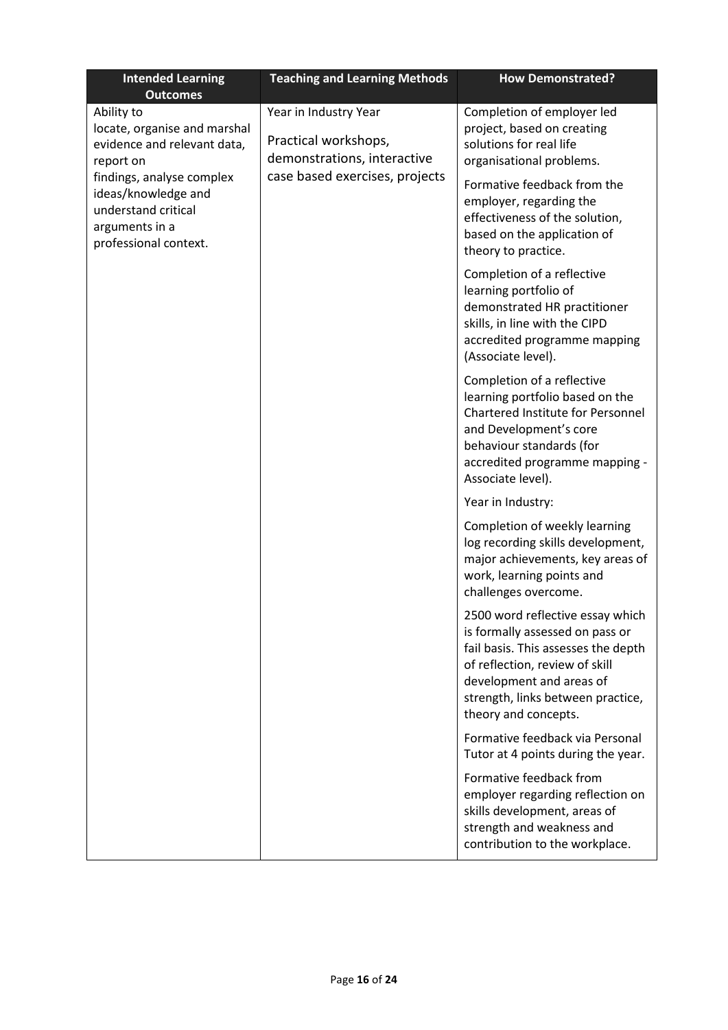| <b>Intended Learning</b><br><b>Outcomes</b>                                                                        | <b>Teaching and Learning Methods</b>                                                                           | <b>How Demonstrated?</b>                                                                                                                                                                                                              |
|--------------------------------------------------------------------------------------------------------------------|----------------------------------------------------------------------------------------------------------------|---------------------------------------------------------------------------------------------------------------------------------------------------------------------------------------------------------------------------------------|
| Ability to<br>locate, organise and marshal<br>evidence and relevant data,<br>report on                             | Year in Industry Year<br>Practical workshops,<br>demonstrations, interactive<br>case based exercises, projects | Completion of employer led<br>project, based on creating<br>solutions for real life<br>organisational problems.                                                                                                                       |
| findings, analyse complex<br>ideas/knowledge and<br>understand critical<br>arguments in a<br>professional context. |                                                                                                                | Formative feedback from the<br>employer, regarding the<br>effectiveness of the solution,<br>based on the application of<br>theory to practice.                                                                                        |
|                                                                                                                    |                                                                                                                | Completion of a reflective<br>learning portfolio of<br>demonstrated HR practitioner<br>skills, in line with the CIPD<br>accredited programme mapping<br>(Associate level).                                                            |
|                                                                                                                    |                                                                                                                | Completion of a reflective<br>learning portfolio based on the<br>Chartered Institute for Personnel<br>and Development's core<br>behaviour standards (for<br>accredited programme mapping -<br>Associate level).                       |
|                                                                                                                    |                                                                                                                | Year in Industry:                                                                                                                                                                                                                     |
|                                                                                                                    |                                                                                                                | Completion of weekly learning<br>log recording skills development,<br>major achievements, key areas of<br>work, learning points and<br>challenges overcome.                                                                           |
|                                                                                                                    |                                                                                                                | 2500 word reflective essay which<br>is formally assessed on pass or<br>fail basis. This assesses the depth<br>of reflection, review of skill<br>development and areas of<br>strength, links between practice,<br>theory and concepts. |
|                                                                                                                    |                                                                                                                | Formative feedback via Personal<br>Tutor at 4 points during the year.                                                                                                                                                                 |
|                                                                                                                    |                                                                                                                | Formative feedback from<br>employer regarding reflection on<br>skills development, areas of<br>strength and weakness and<br>contribution to the workplace.                                                                            |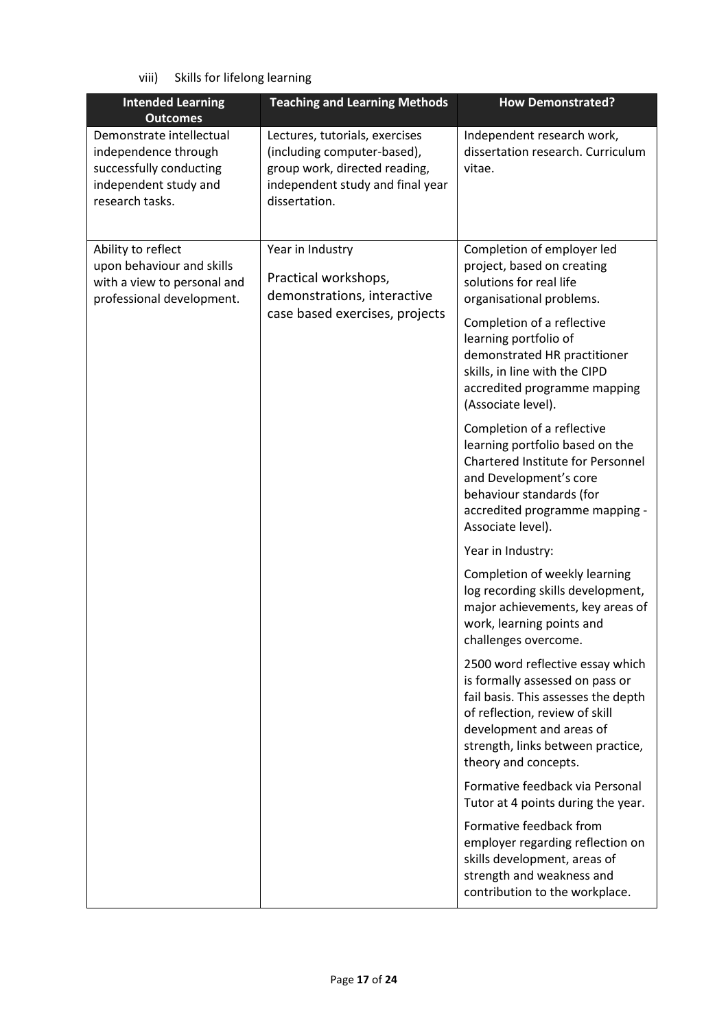viii) Skills for lifelong learning

| <b>Intended Learning</b><br><b>Outcomes</b>                                                                             | <b>Teaching and Learning Methods</b>                                                                                                                | <b>How Demonstrated?</b>                                                                                                                                                                                                              |
|-------------------------------------------------------------------------------------------------------------------------|-----------------------------------------------------------------------------------------------------------------------------------------------------|---------------------------------------------------------------------------------------------------------------------------------------------------------------------------------------------------------------------------------------|
| Demonstrate intellectual<br>independence through<br>successfully conducting<br>independent study and<br>research tasks. | Lectures, tutorials, exercises<br>(including computer-based),<br>group work, directed reading,<br>independent study and final year<br>dissertation. | Independent research work,<br>dissertation research. Curriculum<br>vitae.                                                                                                                                                             |
| Ability to reflect<br>upon behaviour and skills<br>with a view to personal and<br>professional development.             | Year in Industry<br>Practical workshops,<br>demonstrations, interactive                                                                             | Completion of employer led<br>project, based on creating<br>solutions for real life<br>organisational problems.                                                                                                                       |
|                                                                                                                         | case based exercises, projects                                                                                                                      | Completion of a reflective<br>learning portfolio of<br>demonstrated HR practitioner<br>skills, in line with the CIPD<br>accredited programme mapping<br>(Associate level).                                                            |
|                                                                                                                         |                                                                                                                                                     | Completion of a reflective<br>learning portfolio based on the<br>Chartered Institute for Personnel<br>and Development's core<br>behaviour standards (for<br>accredited programme mapping -<br>Associate level).                       |
|                                                                                                                         |                                                                                                                                                     | Year in Industry:                                                                                                                                                                                                                     |
|                                                                                                                         |                                                                                                                                                     | Completion of weekly learning<br>log recording skills development,<br>major achievements, key areas of<br>work, learning points and<br>challenges overcome.                                                                           |
|                                                                                                                         |                                                                                                                                                     | 2500 word reflective essay which<br>is formally assessed on pass or<br>fail basis. This assesses the depth<br>of reflection, review of skill<br>development and areas of<br>strength, links between practice,<br>theory and concepts. |
|                                                                                                                         |                                                                                                                                                     | Formative feedback via Personal<br>Tutor at 4 points during the year.                                                                                                                                                                 |
|                                                                                                                         |                                                                                                                                                     | Formative feedback from<br>employer regarding reflection on<br>skills development, areas of<br>strength and weakness and<br>contribution to the workplace.                                                                            |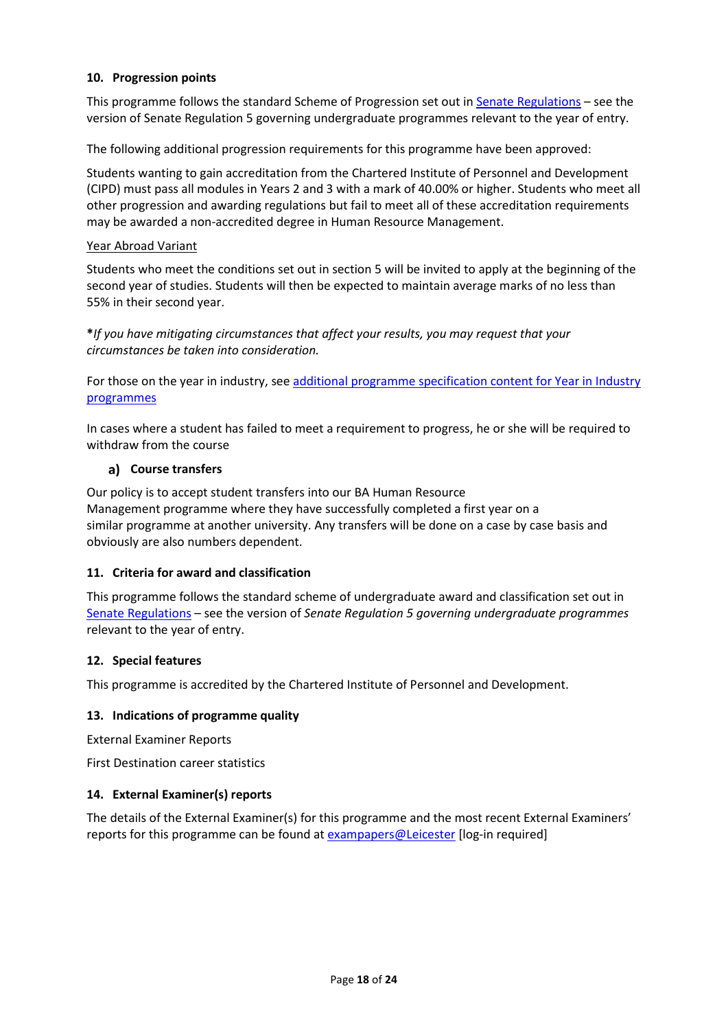#### **10. Progression points**

This programme follows the standard Scheme of Progression set out i[n Senate Regulations](http://www.le.ac.uk/senate-regulations) – see the version of Senate Regulation 5 governing undergraduate programmes relevant to the year of entry.

The following additional progression requirements for this programme have been approved:

Students wanting to gain accreditation from the Chartered Institute of Personnel and Development (CIPD) must pass all modules in Years 2 and 3 with a mark of 40.00% or higher. Students who meet all other progression and awarding regulations but fail to meet all of these accreditation requirements may be awarded a non-accredited degree in Human Resource Management.

#### Year Abroad Variant

Students who meet the conditions set out in section 5 will be invited to apply at the beginning of the second year of studies. Students will then be expected to maintain average marks of no less than 55% in their second year.

**\****If you have mitigating circumstances that affect your results, you may request that your circumstances be taken into consideration.*

For those on the year in industry, se[e additional programme specification content for Year in Industry](https://www2.le.ac.uk/offices/sas2/courses/documentation/undergraduate-programme-specification-content-for-year-in-industry-programme-variants)  [programmes](https://www2.le.ac.uk/offices/sas2/courses/documentation/undergraduate-programme-specification-content-for-year-in-industry-programme-variants)

In cases where a student has failed to meet a requirement to progress, he or she will be required to withdraw from the course

#### **Course transfers**

Our policy is to accept student transfers into our BA Human Resource Management programme where they have successfully completed a first year on a similar programme at another university. Any transfers will be done on a case by case basis and obviously are also numbers dependent.

#### **11. Criteria for award and classification**

This programme follows the standard scheme of undergraduate award and classification set out in [Senate Regulations](http://www.le.ac.uk/senate-regulations) – see the version of *Senate Regulation 5 governing undergraduate programmes* relevant to the year of entry.

#### **12. Special features**

This programme is accredited by the Chartered Institute of Personnel and Development.

#### **13. Indications of programme quality**

External Examiner Reports

First Destination career statistics

#### **14. External Examiner(s) reports**

The details of the External Examiner(s) for this programme and the most recent External Examiners' reports for this programme can be found at [exampapers@Leicester](https://exampapers.le.ac.uk/) [log-in required]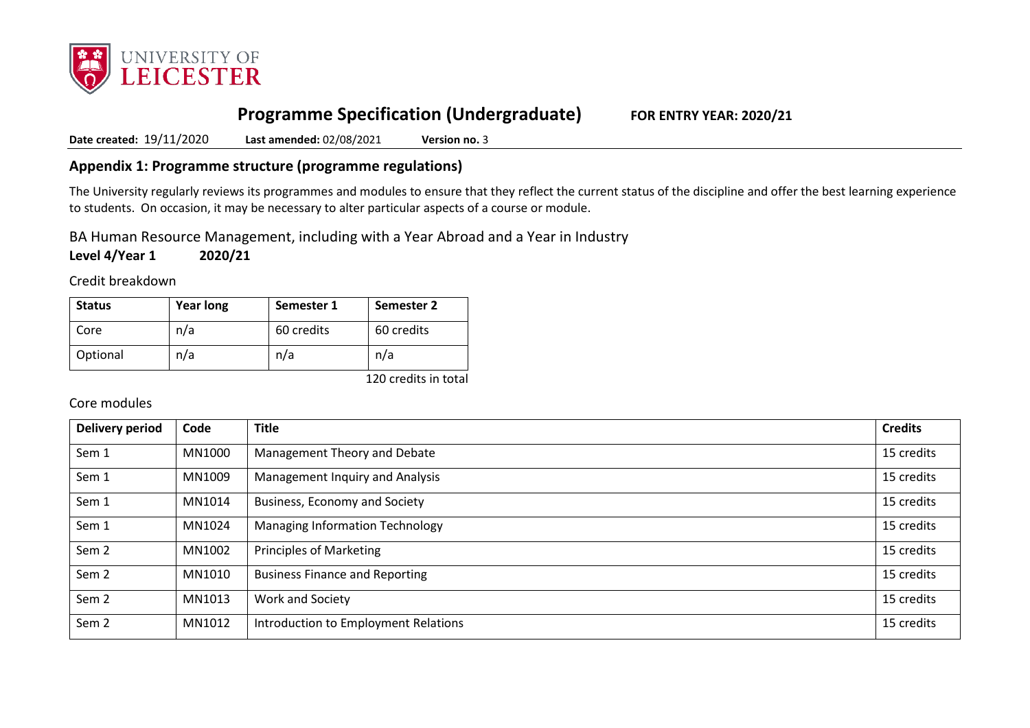

# **Programme Specification (Undergraduate) FOR ENTRY YEAR: 2020/21**

**Date created:** 19/11/2020 **Last amended:** 02/08/2021 **Version no.** 3

## **Appendix 1: Programme structure (programme regulations)**

The University regularly reviews its programmes and modules to ensure that they reflect the current status of the discipline and offer the best learning experience to students. On occasion, it may be necessary to alter particular aspects of a course or module.

BA Human Resource Management, including with a Year Abroad and a Year in Industry

**Level 4/Year 1 2020/21**

Credit breakdown

| <b>Status</b> | <b>Year long</b> | Semester 1 | Semester 2 |
|---------------|------------------|------------|------------|
| Core          | n/a              | 60 credits | 60 credits |
| Optional      | n/a              | n/a        | n/a        |

120 credits in total

### Core modules

| <b>Delivery period</b> | Code   | <b>Title</b>                           | <b>Credits</b> |
|------------------------|--------|----------------------------------------|----------------|
| Sem 1                  | MN1000 | Management Theory and Debate           | 15 credits     |
| Sem 1                  | MN1009 | Management Inquiry and Analysis        | 15 credits     |
| Sem 1                  | MN1014 | Business, Economy and Society          | 15 credits     |
| Sem 1                  | MN1024 | <b>Managing Information Technology</b> | 15 credits     |
| Sem <sub>2</sub>       | MN1002 | Principles of Marketing                | 15 credits     |
| Sem <sub>2</sub>       | MN1010 | <b>Business Finance and Reporting</b>  | 15 credits     |
| Sem <sub>2</sub>       | MN1013 | Work and Society                       | 15 credits     |
| Sem <sub>2</sub>       | MN1012 | Introduction to Employment Relations   | 15 credits     |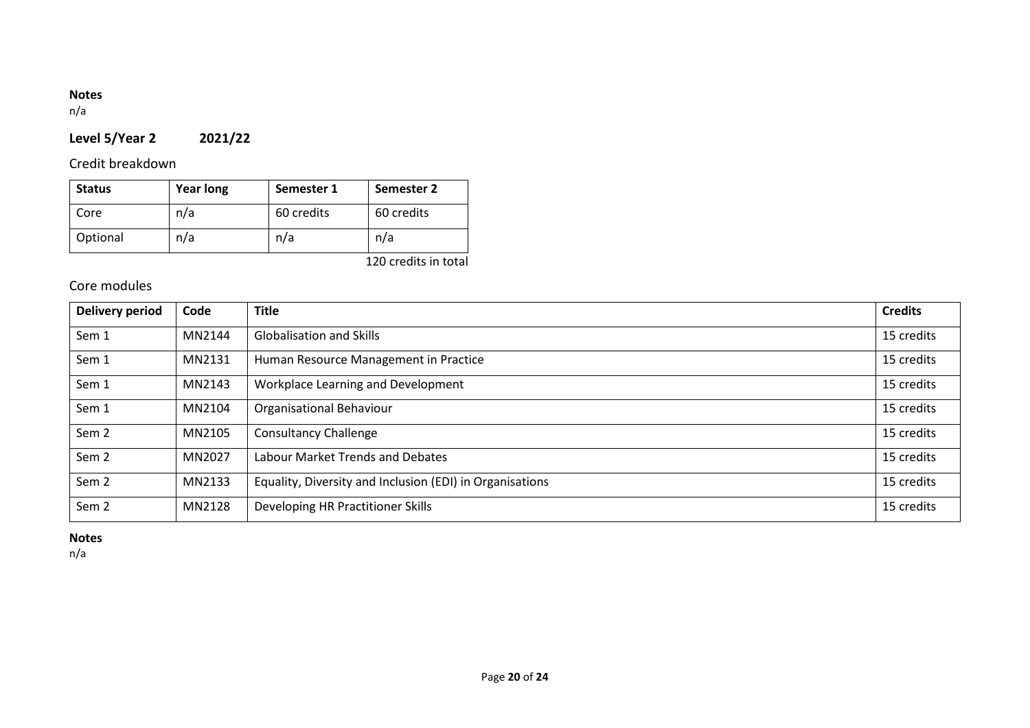# **Notes**

n/a

# **Level 5/Year 2 2021/22**

# Credit breakdown

| <b>Status</b> | <b>Year long</b> | Semester 1 | Semester 2 |
|---------------|------------------|------------|------------|
| Core          | n/a              | 60 credits | 60 credits |
| Optional      | n/a              | n/a        | n/a        |

120 credits in total

# Core modules

| <b>Delivery period</b> | Code   | <b>Title</b>                                             | <b>Credits</b> |
|------------------------|--------|----------------------------------------------------------|----------------|
| Sem 1                  | MN2144 | <b>Globalisation and Skills</b>                          | 15 credits     |
| Sem 1                  | MN2131 | Human Resource Management in Practice                    | 15 credits     |
| Sem 1                  | MN2143 | Workplace Learning and Development                       | 15 credits     |
| Sem 1                  | MN2104 | <b>Organisational Behaviour</b>                          | 15 credits     |
| Sem <sub>2</sub>       | MN2105 | <b>Consultancy Challenge</b>                             | 15 credits     |
| Sem <sub>2</sub>       | MN2027 | Labour Market Trends and Debates                         | 15 credits     |
| Sem <sub>2</sub>       | MN2133 | Equality, Diversity and Inclusion (EDI) in Organisations | 15 credits     |
| Sem <sub>2</sub>       | MN2128 | Developing HR Practitioner Skills                        | 15 credits     |

# **Notes**

n/a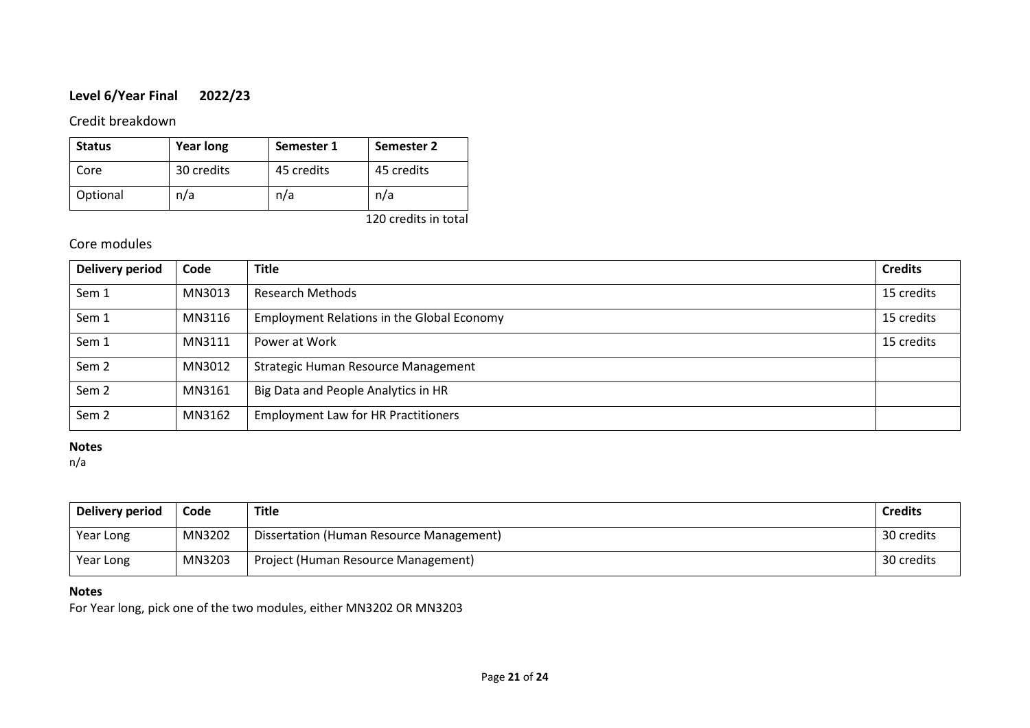# **Level 6/Year Final 2022/23**

### Credit breakdown

| <b>Status</b> | <b>Year long</b> | Semester 1 | Semester 2 |
|---------------|------------------|------------|------------|
| Core          | 30 credits       | 45 credits | 45 credits |
| Optional      | n/a              | n/a        | n/a        |

120 credits in total

# Core modules

| Delivery period  | Code   | <b>Title</b>                                      | <b>Credits</b> |
|------------------|--------|---------------------------------------------------|----------------|
| Sem 1            | MN3013 | <b>Research Methods</b>                           | 15 credits     |
| Sem 1            | MN3116 | <b>Employment Relations in the Global Economy</b> | 15 credits     |
| Sem 1            | MN3111 | Power at Work                                     | 15 credits     |
| Sem <sub>2</sub> | MN3012 | Strategic Human Resource Management               |                |
| Sem <sub>2</sub> | MN3161 | Big Data and People Analytics in HR               |                |
| Sem <sub>2</sub> | MN3162 | <b>Employment Law for HR Practitioners</b>        |                |

### **Notes**

n/a

| Delivery period | Code   | Title                                    | <b>Credits</b> |
|-----------------|--------|------------------------------------------|----------------|
| Year Long       | MN3202 | Dissertation (Human Resource Management) | 30 credits     |
| Year Long       | MN3203 | Project (Human Resource Management)      | 30 credits     |

### **Notes**

For Year long, pick one of the two modules, either MN3202 OR MN3203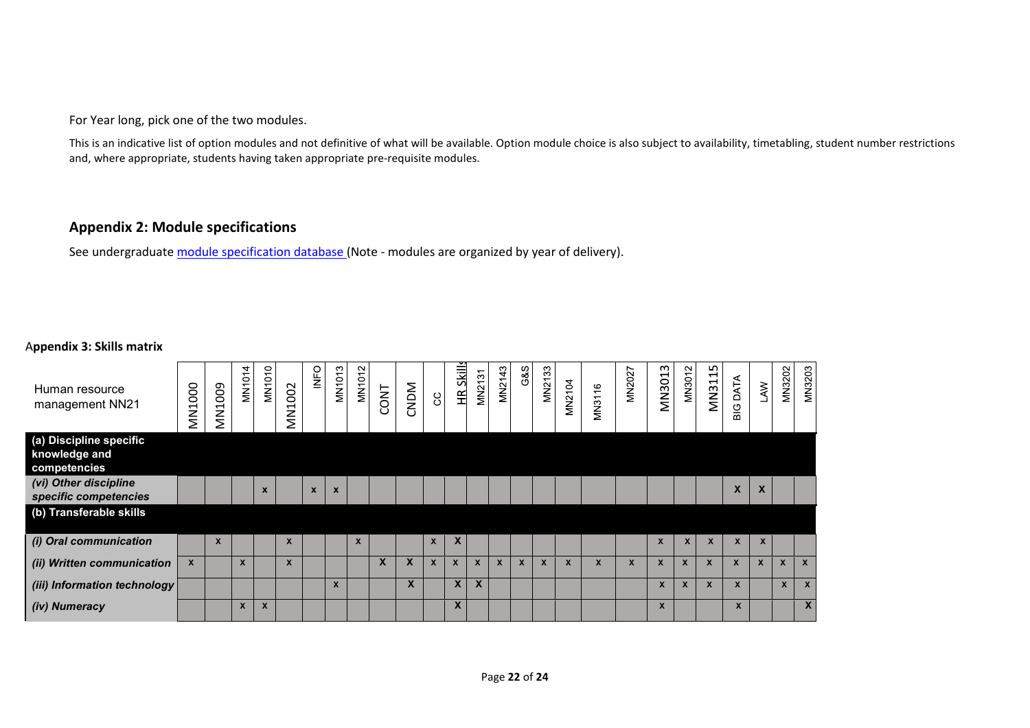For Year long, pick one of the two modules.

This is an indicative list of option modules and not definitive of what will be available. Option module choice is also subject to availability, timetabling, student number restrictions and, where appropriate, students having taken appropriate pre-requisite modules.

## **Appendix 2: Module specifications**

See undergraduat[e module specification database](http://www.le.ac.uk/sas/courses/documentation) (Note - modules are organized by year of delivery).

#### A**ppendix 3: Skills matrix**

| Human resource<br>management NN21                        | <b>MN1000</b>             | <b>MN1009</b> | 4<br>$\overline{ }$<br><b>MN10</b> | MN1010                    | 002<br>$\overline{\phantom{0}}$<br>$\leq$ | <b>INFO</b> | <b>MN1013</b> | MN1012       | <b>CONT</b> | CNDM         | 8            | Skill<br>H                | MN2131      | MN2143       | G&S          | MN2133       | MN2104       | MN3116       | <b>MN2027</b> | MN3013       | MN3012       | MN3115                    | <b>BIG DATA</b> | LAW                       | MN3202       | MN3203           |
|----------------------------------------------------------|---------------------------|---------------|------------------------------------|---------------------------|-------------------------------------------|-------------|---------------|--------------|-------------|--------------|--------------|---------------------------|-------------|--------------|--------------|--------------|--------------|--------------|---------------|--------------|--------------|---------------------------|-----------------|---------------------------|--------------|------------------|
| (a) Discipline specific<br>knowledge and<br>competencies |                           |               |                                    |                           |                                           |             |               |              |             |              |              |                           |             |              |              |              |              |              |               |              |              |                           |                 |                           |              |                  |
| (vi) Other discipline<br>specific competencies           |                           |               |                                    | $\boldsymbol{\mathsf{x}}$ |                                           | $\mathbf x$ | $\mathbf{x}$  |              |             |              |              |                           |             |              |              |              |              |              |               |              |              |                           | X               | $\boldsymbol{\mathsf{x}}$ |              |                  |
| (b) Transferable skills                                  |                           |               |                                    |                           |                                           |             |               |              |             |              |              |                           |             |              |              |              |              |              |               |              |              |                           |                 |                           |              |                  |
| (i) Oral communication                                   |                           | $\mathbf{x}$  |                                    |                           |                                           |             |               | $\mathbf{x}$ |             |              | $\mathbf{x}$ | X                         |             |              |              |              |              |              |               | $\mathbf{x}$ | $\mathbf{x}$ | $\boldsymbol{\mathsf{x}}$ | $\mathbf{x}$    | $\mathbf{x}$              |              |                  |
| (ii) Written communication                               | $\boldsymbol{\mathsf{x}}$ |               | $\mathbf{x}$                       |                           |                                           |             |               |              | $\bm{x}$    | $\mathbf{x}$ | $\mathbf{x}$ | $\boldsymbol{\mathsf{x}}$ | $\mathbf x$ | $\mathbf{x}$ | $\mathbf{x}$ | $\mathbf{x}$ | $\mathbf{x}$ | $\mathbf{x}$ | $\mathbf{x}$  | $\mathbf{x}$ | $\mathbf{x}$ | $\boldsymbol{\mathsf{x}}$ | $\mathbf{x}$    | $\mathbf{x}$              | $\mathbf{x}$ | $\mathbf{x}$     |
| (iii) Information technology                             |                           |               |                                    |                           |                                           |             | $\mathbf{x}$  |              |             | X            |              | $\mathbf{x}$              | X           |              |              |              |              |              |               | $\mathsf{x}$ | $\mathsf{x}$ | $\boldsymbol{\mathsf{x}}$ | $\mathbf{x}$    |                           | $\mathsf{x}$ | $\mathbf{x}$     |
| (iv) Numeracy                                            |                           |               | $\mathsf{x}$                       | $\boldsymbol{\mathsf{x}}$ |                                           |             |               |              |             |              |              | X                         |             |              |              |              |              |              |               | X            |              |                           | $\mathsf{x}$    |                           |              | $\boldsymbol{X}$ |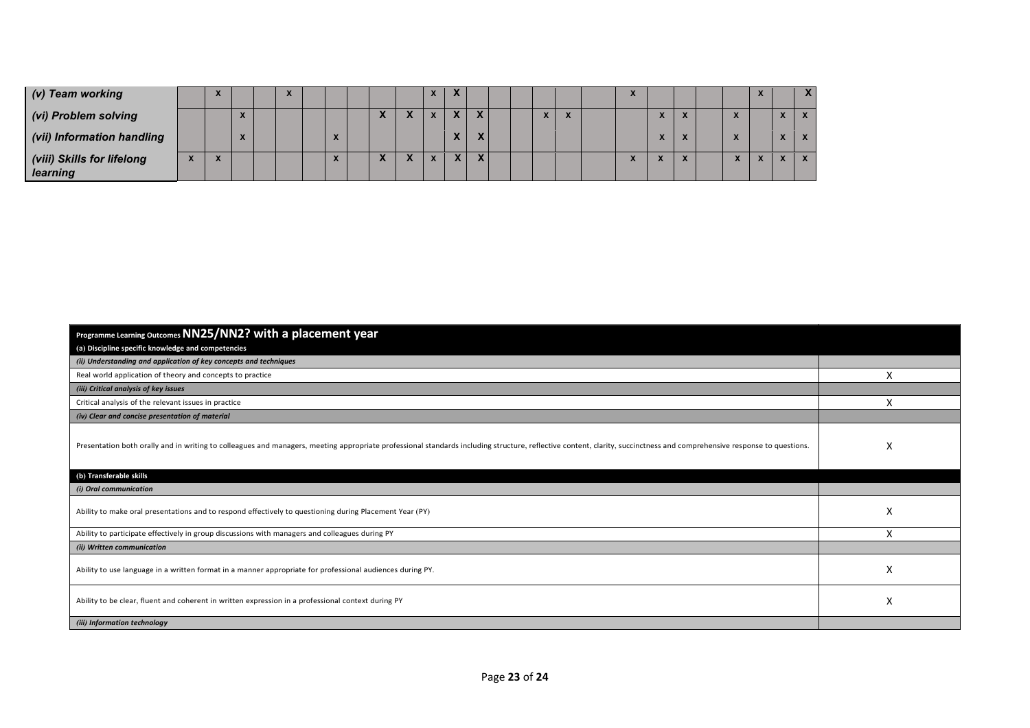| (v) Team working                       | A                             |                                                        |  |  |  |  |                          |                          |  |                          |  | ∽ |                                          |           |  |                                | X            |
|----------------------------------------|-------------------------------|--------------------------------------------------------|--|--|--|--|--------------------------|--------------------------|--|--------------------------|--|---|------------------------------------------|-----------|--|--------------------------------|--------------|
| (vi) Problem solving                   |                               | $\overline{\phantom{a}}$                               |  |  |  |  | $\overline{\phantom{a}}$ | $\overline{\phantom{a}}$ |  | $\overline{\phantom{a}}$ |  |   | $\boldsymbol{\lambda}$                   |           |  | $\mathbf{v}$                   | $\mathbf{X}$ |
| (vii) Information handling             |                               | $\overline{\phantom{a}}$<br>$\boldsymbol{\mathcal{L}}$ |  |  |  |  |                          |                          |  |                          |  |   | $\overline{\phantom{a}}$<br>$\mathbf{v}$ |           |  | $\overline{v}$<br>$\mathbf{v}$ | $\mathbf{X}$ |
| (viii) Skills for lifelong<br>learning | $\overline{\phantom{a}}$<br>↗ |                                                        |  |  |  |  | л.                       |                          |  |                          |  | ∽ |                                          | $\lambda$ |  |                                | $\mathbf{X}$ |

| Programme Learning Outcomes NN25/NN2? with a placement year                                                                                                                                                            |   |
|------------------------------------------------------------------------------------------------------------------------------------------------------------------------------------------------------------------------|---|
| (a) Discipline specific knowledge and competencies                                                                                                                                                                     |   |
| (ii) Understanding and application of key concepts and techniques                                                                                                                                                      |   |
| Real world application of theory and concepts to practice                                                                                                                                                              | X |
| (iii) Critical analysis of key issues                                                                                                                                                                                  |   |
| Critical analysis of the relevant issues in practice                                                                                                                                                                   | X |
| (iv) Clear and concise presentation of material                                                                                                                                                                        |   |
| Presentation both orally and in writing to colleagues and managers, meeting appropriate professional standards including structure, reflective content, clarity, succinctness and comprehensive response to questions. | X |
| (b) Transferable skills                                                                                                                                                                                                |   |
| (i) Oral communication                                                                                                                                                                                                 |   |
| Ability to make oral presentations and to respond effectively to questioning during Placement Year (PY)                                                                                                                | X |
| Ability to participate effectively in group discussions with managers and colleagues during PY                                                                                                                         | X |
| (ii) Written communication                                                                                                                                                                                             |   |
| Ability to use language in a written format in a manner appropriate for professional audiences during PY.                                                                                                              | X |
| Ability to be clear, fluent and coherent in written expression in a professional context during PY                                                                                                                     | X |
| (iii) Information technology                                                                                                                                                                                           |   |